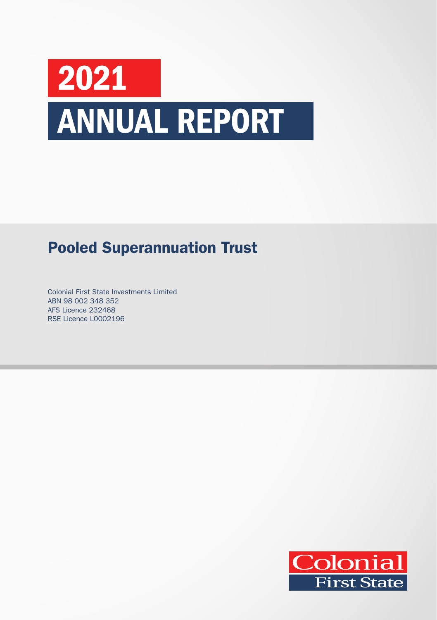# 2021 ANNUAL REPORT

# Pooled Superannuation Trust

Colonial First State Investments Limited ABN 98 002 348 352 AFS Licence 232468 RSE Licence L0002196

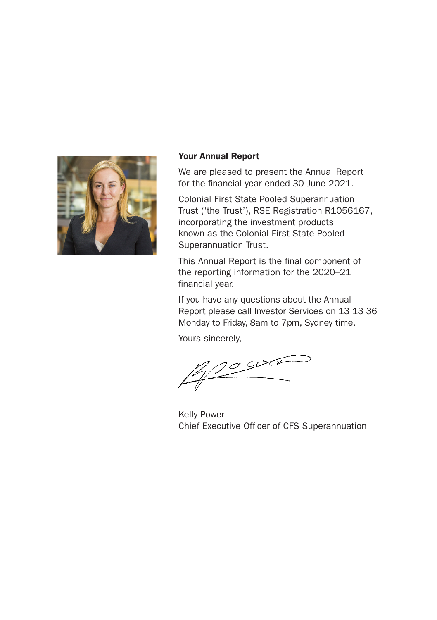

#### Your Annual Report

We are pleased to present the Annual Report for the financial year ended 30 June 2021.

Colonial First State Pooled Superannuation Trust ('the Trust'), RSE Registration R1056167, incorporating the investment products known as the Colonial First State Pooled Superannuation Trust.

This Annual Report is the final component of the reporting information for the 2020–21 financial year.

If you have any questions about the Annual Report please call Investor Services on 13 13 36 Monday to Friday, 8am to 7pm, Sydney time.

Yours sincerely,

 $\sigma$  was

Kelly Power Chief Executive Officer of CFS Superannuation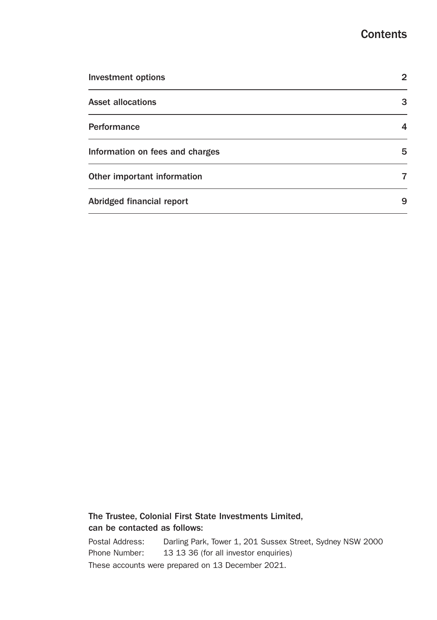## **Contents**

| <b>Investment options</b>       | 2 |
|---------------------------------|---|
| <b>Asset allocations</b>        | 3 |
| Performance                     | 4 |
| Information on fees and charges | 5 |
| Other important information     | 7 |
| Abridged financial report       | 9 |

### The Trustee, Colonial First State Investments Limited, can be contacted as follows:

Postal Address: Darling Park, Tower 1, 201 Sussex Street, Sydney NSW 2000 Phone Number: 13 13 36 (for all investor enquiries) These accounts were prepared on 13 December 2021.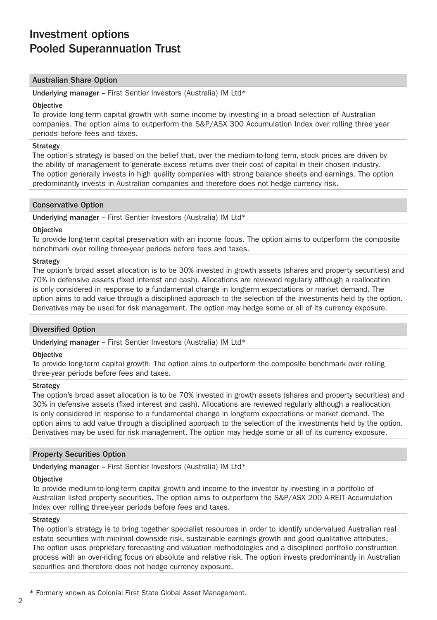# Investment options Pooled Superannuation Trust

#### Australian Share Option

Underlying manager – First Sentier Investors (Australia) IM Ltd\*

#### **Objective**

To provide long-term capital growth with some income by investing in a broad selection of Australian companies. The option aims to outperform the S&P/ASX 300 Accumulation Index over rolling three year periods before fees and taxes.

#### **Strategy**

The option's strategy is based on the belief that, over the medium-to-long term, stock prices are driven by the ability of management to generate excess returns over their cost of capital in their chosen industry. The option generally invests in high quality companies with strong balance sheets and earnings. The option predominantly invests in Australian companies and therefore does not hedge currency risk.

#### Conservative Option

Underlying manager – First Sentier Investors (Australia) IM Ltd\*

#### **Objective**

To provide long-term capital preservation with an income focus. The option aims to outperform the composite benchmark over rolling three-year periods before fees and taxes.

#### **Strategy**

The option's broad asset allocation is to be 30% invested in growth assets (shares and property securities) and 70% in defensive assets (fixed interest and cash). Allocations are reviewed regularly although a reallocation is only considered in response to a fundamental change in longterm expectations or market demand. The option aims to add value through a disciplined approach to the selection of the investments held by the option. Derivatives may be used for risk management. The option may hedge some or all of its currency exposure.

#### Diversified Option

Underlying manager – First Sentier Investors (Australia) IM Ltd\*

#### **Objective**

To provide long-term capital growth. The option aims to outperform the composite benchmark over rolling three-year periods before fees and taxes.

#### **Strategy**

The option's broad asset allocation is to be 70% invested in growth assets (shares and property securities) and 30% in defensive assets (fixed interest and cash). Allocations are reviewed regularly although a reallocation is only considered in response to a fundamental change in longterm expectations or market demand. The option aims to add value through a disciplined approach to the selection of the investments held by the option. Derivatives may be used for risk management. The option may hedge some or all of its currency exposure.

#### Property Securities Option

Underlying manager – First Sentier Investors (Australia) IM Ltd\*

#### **Objective**

To provide medium-to-long-term capital growth and income to the investor by investing in a portfolio of Australian listed property securities. The option aims to outperform the S&P/ASX 200 A-REIT Accumulation Index over rolling three-year periods before fees and taxes.

#### **Strategy**

The option's strategy is to bring together specialist resources in order to identify undervalued Australian real estate securities with minimal downside risk, sustainable earnings growth and good qualitative attributes. The option uses proprietary forecasting and valuation methodologies and a disciplined portfolio construction process with an over-riding focus on absolute and relative risk. The option invests predominantly in Australian securities and therefore does not hedge currency exposure.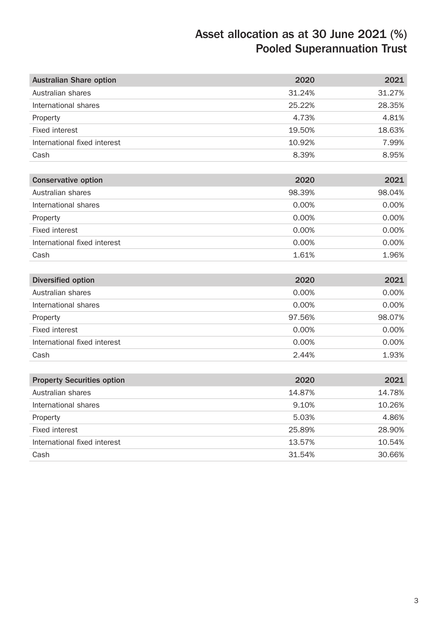# Asset allocation as at 30 June 2021 (%) Pooled Superannuation Trust

| <b>Australian Share option</b>    | 2020   | 2021   |
|-----------------------------------|--------|--------|
| Australian shares                 | 31.24% | 31.27% |
| International shares              | 25.22% | 28.35% |
| Property                          | 4.73%  | 4.81%  |
| <b>Fixed interest</b>             | 19.50% | 18.63% |
| International fixed interest      | 10.92% | 7.99%  |
| Cash                              | 8.39%  | 8.95%  |
|                                   |        |        |
| <b>Conservative option</b>        | 2020   | 2021   |
| Australian shares                 | 98.39% | 98.04% |
| International shares              | 0.00%  | 0.00%  |
| Property                          | 0.00%  | 0.00%  |
| <b>Fixed interest</b>             | 0.00%  | 0.00%  |
| International fixed interest      | 0.00%  | 0.00%  |
| Cash                              | 1.61%  | 1.96%  |
|                                   |        |        |
| <b>Diversified option</b>         | 2020   | 2021   |
| Australian shares                 | 0.00%  | 0.00%  |
| International shares              | 0.00%  | 0.00%  |
| Property                          | 97.56% | 98.07% |
| <b>Fixed interest</b>             | 0.00%  | 0.00%  |
| International fixed interest      | 0.00%  | 0.00%  |
| Cash                              | 2.44%  | 1.93%  |
|                                   |        |        |
| <b>Property Securities option</b> | 2020   | 2021   |
| Australian shares                 | 14.87% | 14.78% |
| International shares              | 9.10%  | 10.26% |
| Property                          | 5.03%  | 4.86%  |
| <b>Fixed interest</b>             | 25.89% | 28.90% |
| International fixed interest      | 13.57% | 10.54% |
| Cash                              | 31.54% | 30.66% |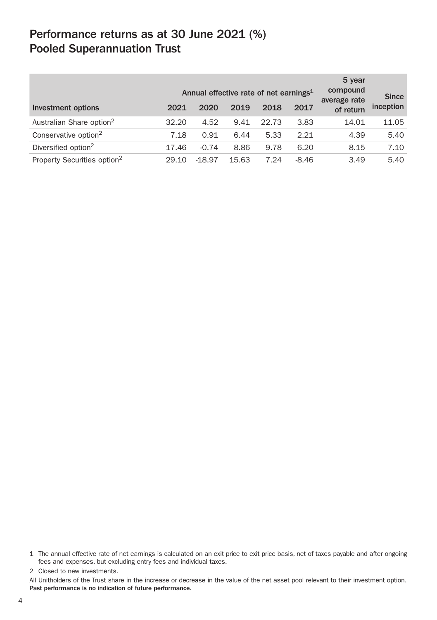# Performance returns as at 30 June 2021 (%) Pooled Superannuation Trust

|                                         | 5 year<br>compound<br>Annual effective rate of net earnings <sup>1</sup><br>average rate |          |       | <b>Since</b> |         |           |           |
|-----------------------------------------|------------------------------------------------------------------------------------------|----------|-------|--------------|---------|-----------|-----------|
| Investment options                      | 2021                                                                                     | 2020     | 2019  | 2018         | 2017    | of return | inception |
| Australian Share option <sup>2</sup>    | 32.20                                                                                    | 4.52     | 9.41  | 22.73        | 3.83    | 14.01     | 11.05     |
| Conservative option <sup>2</sup>        | 7.18                                                                                     | 0.91     | 6.44  | 5.33         | 2.21    | 4.39      | 5.40      |
| Diversified option <sup>2</sup>         | 17.46                                                                                    | $-0.74$  | 8.86  | 9.78         | 6.20    | 8.15      | 7.10      |
| Property Securities option <sup>2</sup> | 29.10                                                                                    | $-18.97$ | 15.63 | 7.24         | $-8.46$ | 3.49      | 5.40      |

2 Closed to new investments.

All Unitholders of the Trust share in the increase or decrease in the value of the net asset pool relevant to their investment option. Past performance is no indication of future performance.

<sup>1</sup> The annual effective rate of net earnings is calculated on an exit price to exit price basis, net of taxes payable and after ongoing fees and expenses, but excluding entry fees and individual taxes.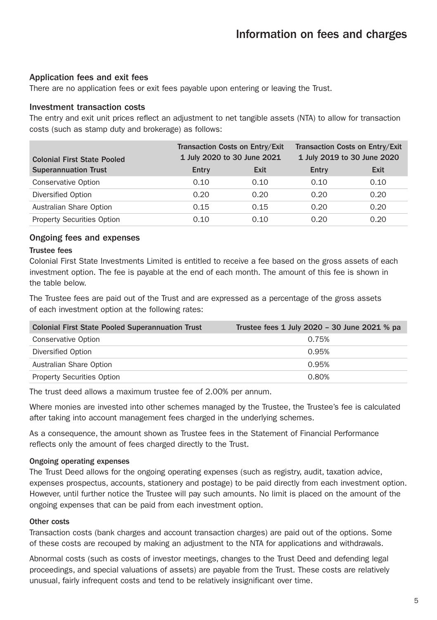#### Application fees and exit fees

There are no application fees or exit fees payable upon entering or leaving the Trust.

#### Investment transaction costs

The entry and exit unit prices reflect an adjustment to net tangible assets (NTA) to allow for transaction costs (such as stamp duty and brokerage) as follows:

| <b>Colonial First State Pooled</b> |       | Transaction Costs on Entry/Exit<br>1 July 2020 to 30 June 2021 | Transaction Costs on Entry/Exit<br>1 July 2019 to 30 June 2020 |      |  |
|------------------------------------|-------|----------------------------------------------------------------|----------------------------------------------------------------|------|--|
| <b>Superannuation Trust</b>        | Entry | Exit                                                           | Entry                                                          | Exit |  |
| <b>Conservative Option</b>         | 0.10  | 0.10                                                           | 0.10                                                           | 0.10 |  |
| Diversified Option                 | 0.20  | 0.20                                                           | 0.20                                                           | 0.20 |  |
| Australian Share Option            | 0.15  | 0.15                                                           | 0.20                                                           | 0.20 |  |
| <b>Property Securities Option</b>  | 0.10  | 0.10                                                           | 0.20                                                           | 0.20 |  |

#### Ongoing fees and expenses

#### Trustee fees

Colonial First State Investments Limited is entitled to receive a fee based on the gross assets of each investment option. The fee is payable at the end of each month. The amount of this fee is shown in the table below.

The Trustee fees are paid out of the Trust and are expressed as a percentage of the gross assets of each investment option at the following rates:

| <b>Colonial First State Pooled Superannuation Trust</b> | Trustee fees 1 July 2020 - 30 June 2021 % pa |
|---------------------------------------------------------|----------------------------------------------|
| Conservative Option                                     | 0.75%                                        |
| Diversified Option                                      | 0.95%                                        |
| Australian Share Option                                 | 0.95%                                        |
| <b>Property Securities Option</b>                       | 0.80%                                        |

The trust deed allows a maximum trustee fee of 2.00% per annum.

Where monies are invested into other schemes managed by the Trustee, the Trustee's fee is calculated after taking into account management fees charged in the underlying schemes.

As a consequence, the amount shown as Trustee fees in the Statement of Financial Performance reflects only the amount of fees charged directly to the Trust.

#### Ongoing operating expenses

The Trust Deed allows for the ongoing operating expenses (such as registry, audit, taxation advice, expenses prospectus, accounts, stationery and postage) to be paid directly from each investment option. However, until further notice the Trustee will pay such amounts. No limit is placed on the amount of the ongoing expenses that can be paid from each investment option.

#### Other costs

Transaction costs (bank charges and account transaction charges) are paid out of the options. Some of these costs are recouped by making an adjustment to the NTA for applications and withdrawals.

Abnormal costs (such as costs of investor meetings, changes to the Trust Deed and defending legal proceedings, and special valuations of assets) are payable from the Trust. These costs are relatively unusual, fairly infrequent costs and tend to be relatively insignificant over time.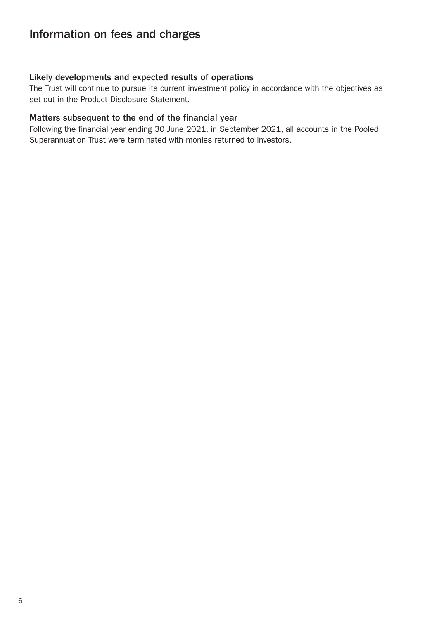# Information on fees and charges

#### Likely developments and expected results of operations

The Trust will continue to pursue its current investment policy in accordance with the objectives as set out in the Product Disclosure Statement.

#### Matters subsequent to the end of the financial year

Following the financial year ending 30 June 2021, in September 2021, all accounts in the Pooled Superannuation Trust were terminated with monies returned to investors.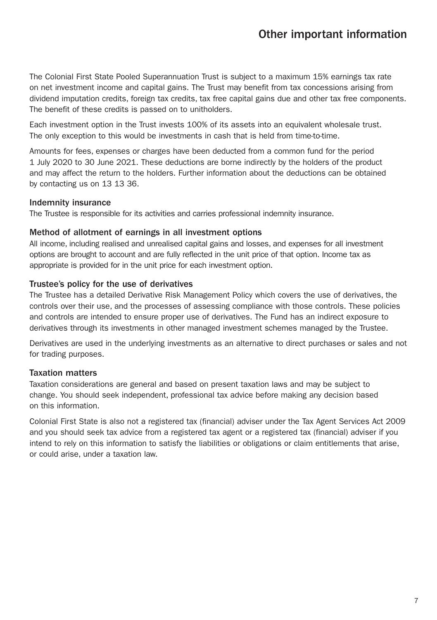# Other important information

The Colonial First State Pooled Superannuation Trust is subject to a maximum 15% earnings tax rate on net investment income and capital gains. The Trust may benefit from tax concessions arising from dividend imputation credits, foreign tax credits, tax free capital gains due and other tax free components. The benefit of these credits is passed on to unitholders.

Each investment option in the Trust invests 100% of its assets into an equivalent wholesale trust. The only exception to this would be investments in cash that is held from time-to-time.

Amounts for fees, expenses or charges have been deducted from a common fund for the period 1 July 2020 to 30 June 2021. These deductions are borne indirectly by the holders of the product and may affect the return to the holders. Further information about the deductions can be obtained by contacting us on 13 13 36.

#### Indemnity insurance

The Trustee is responsible for its activities and carries professional indemnity insurance.

#### Method of allotment of earnings in all investment options

All income, including realised and unrealised capital gains and losses, and expenses for all investment options are brought to account and are fully reflected in the unit price of that option. Income tax as appropriate is provided for in the unit price for each investment option.

#### Trustee's policy for the use of derivatives

The Trustee has a detailed Derivative Risk Management Policy which covers the use of derivatives, the controls over their use, and the processes of assessing compliance with those controls. These policies and controls are intended to ensure proper use of derivatives. The Fund has an indirect exposure to derivatives through its investments in other managed investment schemes managed by the Trustee.

Derivatives are used in the underlying investments as an alternative to direct purchases or sales and not for trading purposes.

#### Taxation matters

Taxation considerations are general and based on present taxation laws and may be subject to change. You should seek independent, professional tax advice before making any decision based on this information.

Colonial First State is also not a registered tax (financial) adviser under the Tax Agent Services Act 2009 and you should seek tax advice from a registered tax agent or a registered tax (financial) adviser if you intend to rely on this information to satisfy the liabilities or obligations or claim entitlements that arise, or could arise, under a taxation law.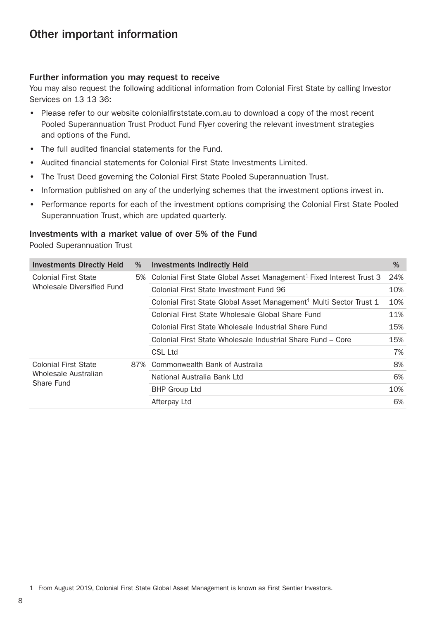# Other important information

#### Further information you may request to receive

You may also request the following additional information from Colonial First State by calling Investor Services on 13 13 36:

- Please refer to our website [colonialfirststate.com.au](https://www3.colonialfirststate.com.au) to download a copy of the most recent Pooled Superannuation Trust Product Fund Flyer covering the relevant investment strategies and options of the Fund.
- The full audited financial statements for the Fund.
- Audited financial statements for Colonial First State Investments Limited.
- The Trust Deed governing the Colonial First State Pooled Superannuation Trust.
- Information published on any of the underlying schemes that the investment options invest in.
- Performance reports for each of the investment options comprising the Colonial First State Pooled Superannuation Trust, which are updated quarterly.

#### Investments with a market value of over 5% of the Fund

Pooled Superannuation Trust

| <b>Investments Directly Held</b>   | % | <b>Investments Indirectly Held</b>                                                  | %   |
|------------------------------------|---|-------------------------------------------------------------------------------------|-----|
| <b>Colonial First State</b>        |   | 5% Colonial First State Global Asset Management <sup>1</sup> Fixed Interest Trust 3 | 24% |
| Wholesale Diversified Fund         |   | Colonial First State Investment Fund 96                                             | 10% |
|                                    |   | Colonial First State Global Asset Management <sup>1</sup> Multi Sector Trust 1      | 10% |
|                                    |   | Colonial First State Wholesale Global Share Fund                                    | 11% |
|                                    |   | Colonial First State Wholesale Industrial Share Fund                                | 15% |
|                                    |   | Colonial First State Wholesale Industrial Share Fund - Core                         | 15% |
|                                    |   | CSL Ltd                                                                             | 7%  |
| <b>Colonial First State</b>        |   | 87% Commonwealth Bank of Australia                                                  | 8%  |
| Wholesale Australian<br>Share Fund |   | National Australia Bank Ltd                                                         | 6%  |
|                                    |   | <b>BHP Group Ltd</b>                                                                | 10% |
|                                    |   | Afterpay Ltd                                                                        | 6%  |

1 From August 2019, Colonial First State Global Asset Management is known as First Sentier Investors.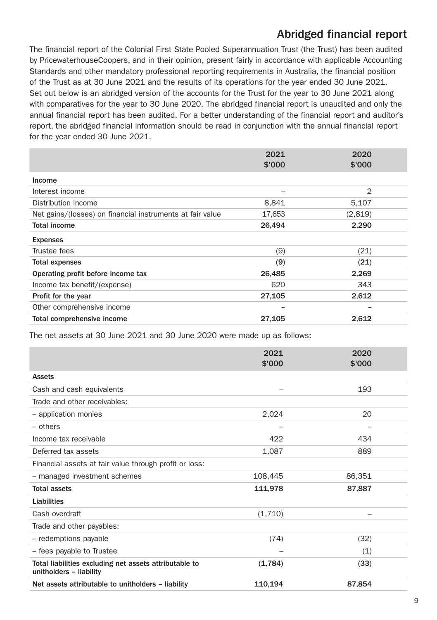# Abridged financial report

The financial report of the Colonial First State Pooled Superannuation Trust (the Trust) has been audited by PricewaterhouseCoopers, and in their opinion, present fairly in accordance with applicable Accounting Standards and other mandatory professional reporting requirements in Australia, the financial position of the Trust as at 30 June 2021 and the results of its operations for the year ended 30 June 2021. Set out below is an abridged version of the accounts for the Trust for the year to 30 June 2021 along with comparatives for the year to 30 June 2020. The abridged financial report is unaudited and only the annual financial report has been audited. For a better understanding of the financial report and auditor's report, the abridged financial information should be read in conjunction with the annual financial report for the year ended 30 June 2021.

|                                                           | 2021   | 2020           |
|-----------------------------------------------------------|--------|----------------|
|                                                           | \$'000 | \$'000         |
| Income                                                    |        |                |
| Interest income                                           |        | $\overline{2}$ |
| Distribution income                                       | 8,841  | 5,107          |
| Net gains/(losses) on financial instruments at fair value | 17,653 | (2,819)        |
| <b>Total income</b>                                       | 26,494 | 2,290          |
| <b>Expenses</b>                                           |        |                |
| Trustee fees                                              | (9)    | (21)           |
| <b>Total expenses</b>                                     | (9)    | (21)           |
| Operating profit before income tax                        | 26,485 | 2,269          |
| Income tax benefit/(expense)                              | 620    | 343            |
| Profit for the year                                       | 27,105 | 2,612          |
| Other comprehensive income                                | -      |                |
| Total comprehensive income                                | 27,105 | 2,612          |

The net assets at 30 June 2021 and 30 June 2020 were made up as follows:

|                                                                                   | 2021    | 2020   |
|-----------------------------------------------------------------------------------|---------|--------|
|                                                                                   | \$'000  | \$'000 |
| <b>Assets</b>                                                                     |         |        |
| Cash and cash equivalents                                                         | -       | 193    |
| Trade and other receivables:                                                      |         |        |
| - application monies                                                              | 2,024   | 20     |
| $-$ others                                                                        | -       | -      |
| Income tax receivable                                                             | 422     | 434    |
| Deferred tax assets                                                               | 1,087   | 889    |
| Financial assets at fair value through profit or loss:                            |         |        |
| - managed investment schemes                                                      | 108,445 | 86,351 |
| <b>Total assets</b>                                                               | 111,978 | 87,887 |
| Liabilities                                                                       |         |        |
| Cash overdraft                                                                    | (1,710) |        |
| Trade and other payables:                                                         |         |        |
| - redemptions payable                                                             | (74)    | (32)   |
| - fees payable to Trustee                                                         |         | (1)    |
| Total liabilities excluding net assets attributable to<br>unitholders - liability | (1,784) | (33)   |
| Net assets attributable to unitholders - liability                                | 110,194 | 87,854 |